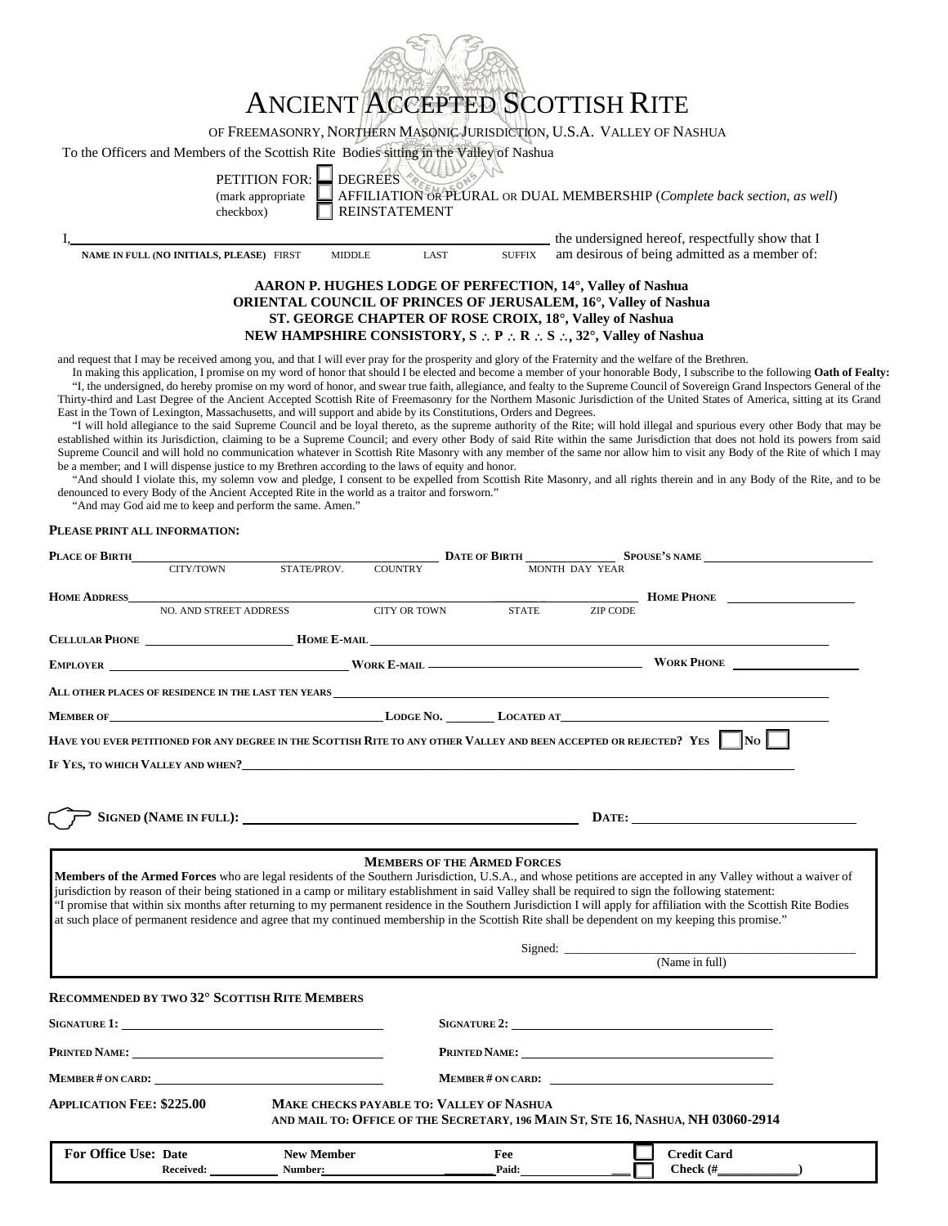| ANCIENT ACCEPTED SCOTTISH RITE                                                                                                                                                                                                                          |
|---------------------------------------------------------------------------------------------------------------------------------------------------------------------------------------------------------------------------------------------------------|
| OF FREEMASONRY, NORTHERN MASONIC JURISDICTION, U.S.A. VALLEY OF NASHUA                                                                                                                                                                                  |
| To the Officers and Members of the Scottish Rite Bodies sitting in the Valley of Nashua<br>PETITION FOR: DEGREES<br>AFFILIATION OR PLURAL OR DUAL MEMBERSHIP (Complete back section, as well)<br>(mark appropriate<br><b>REINSTATEMENT</b><br>checkbox) |
| the undersigned hereof, respectfully show that I                                                                                                                                                                                                        |
| am desirous of being admitted as a member of:<br>NAME IN FULL (NO INITIALS, PLEASE) FIRST<br><b>SUFFIX</b><br>LAST<br><b>MIDDLE</b>                                                                                                                     |
| AARON P. HUGHES LODGE OF PERFECTION, 14°, Valley of Nashua<br>ODIENTAL COUNCIL OF DDINCES OF IFDHSALEM 16º Vollov of Nochuo                                                                                                                             |

# **ORIENTAL COUNCIL OF PRINCES OF JERUSALEM, 16°, Valley of Nashua ST. GEORGE CHAPTER OF ROSE CROIX, 18°, Valley of Nashua NEW HAMPSHIRE CONSISTORY, S** ∴ **P** ∴ **R** ∴ **S** ∴, **32°, Valley of Nashua**

and request that I may be received among you, and that I will ever pray for the prosperity and glory of the Fraternity and the welfare of the Brethren.

In making this application, I promise on my word of honor that should I be elected and become a member of your honorable Body, I subscribe to the following **Oath of Fealty:** "I, the undersigned, do hereby promise on my word of honor, and swear true faith, allegiance, and fealty to the Supreme Council of Sovereign Grand Inspectors General of the Thirty-third and Last Degree of the Ancient Accepted Scottish Rite of Freemasonry for the Northern Masonic Jurisdiction of the United States of America, sitting at its Grand East in the Town of Lexington, Massachusetts, and will support and abide by its Constitutions, Orders and Degrees.

"I will hold allegiance to the said Supreme Council and be loyal thereto, as the supreme authority of the Rite; will hold illegal and spurious every other Body that may be established within its Jurisdiction, claiming to be a Supreme Council; and every other Body of said Rite within the same Jurisdiction that does not hold its powers from said Supreme Council and will hold no communication whatever in Scottish Rite Masonry with any member of the same nor allow him to visit any Body of the Rite of which I may be a member; and I will dispense justice to my Brethren according to the laws of equity and honor.

"And should I violate this, my solemn vow and pledge, I consent to be expelled from Scottish Rite Masonry, and all rights therein and in any Body of the Rite, and to be denounced to every Body of the Ancient Accepted Rite in the world as a traitor and forsworn."

"And may God aid me to keep and perform the same. Amen."

#### **PLEASE PRINT ALL INFORMATION:**

| PLACE OF BIRTH                                                                                                                                                                                                                                                                                                                                                                                                                                                                                                                                                                                                                                                                         |                                                                                                                                                                                                                               |                   |                                                                                                                                                                                                                                |                    |                 | <b>DATE OF BIRTH SPOUSE'S NAME</b>                                                                                                                                                                                                   |  |
|----------------------------------------------------------------------------------------------------------------------------------------------------------------------------------------------------------------------------------------------------------------------------------------------------------------------------------------------------------------------------------------------------------------------------------------------------------------------------------------------------------------------------------------------------------------------------------------------------------------------------------------------------------------------------------------|-------------------------------------------------------------------------------------------------------------------------------------------------------------------------------------------------------------------------------|-------------------|--------------------------------------------------------------------------------------------------------------------------------------------------------------------------------------------------------------------------------|--------------------|-----------------|--------------------------------------------------------------------------------------------------------------------------------------------------------------------------------------------------------------------------------------|--|
|                                                                                                                                                                                                                                                                                                                                                                                                                                                                                                                                                                                                                                                                                        | CITY/TOWN                                                                                                                                                                                                                     | STATE/PROV.       | <b>COUNTRY</b>                                                                                                                                                                                                                 |                    | MONTH DAY YEAR  |                                                                                                                                                                                                                                      |  |
| HOME ADDRESS                                                                                                                                                                                                                                                                                                                                                                                                                                                                                                                                                                                                                                                                           |                                                                                                                                                                                                                               |                   |                                                                                                                                                                                                                                |                    |                 | HOME PHONE                                                                                                                                                                                                                           |  |
|                                                                                                                                                                                                                                                                                                                                                                                                                                                                                                                                                                                                                                                                                        | NO. AND STREET ADDRESS                                                                                                                                                                                                        |                   |                                                                                                                                                                                                                                | CITY OR TOWN STATE | <b>ZIP CODE</b> |                                                                                                                                                                                                                                      |  |
|                                                                                                                                                                                                                                                                                                                                                                                                                                                                                                                                                                                                                                                                                        |                                                                                                                                                                                                                               |                   |                                                                                                                                                                                                                                |                    |                 |                                                                                                                                                                                                                                      |  |
|                                                                                                                                                                                                                                                                                                                                                                                                                                                                                                                                                                                                                                                                                        |                                                                                                                                                                                                                               |                   |                                                                                                                                                                                                                                |                    |                 | EMPLOYER WORK WORK E-MAIL WORK E-MAIL WORK PHONE                                                                                                                                                                                     |  |
|                                                                                                                                                                                                                                                                                                                                                                                                                                                                                                                                                                                                                                                                                        |                                                                                                                                                                                                                               |                   |                                                                                                                                                                                                                                |                    |                 | ALL OTHER PLACES OF RESIDENCE IN THE LAST TEN YEARS WELL SERVED FOR THE UNIT OF THE UNIT OF THE USE OF RESIDENCE IN THE LAST TEN YEARS                                                                                               |  |
|                                                                                                                                                                                                                                                                                                                                                                                                                                                                                                                                                                                                                                                                                        |                                                                                                                                                                                                                               |                   |                                                                                                                                                                                                                                |                    |                 | MEMBER OF <b>CONTRACT CONTRACT CONTRACT CONTRACT CONTRACT CONTRACT CONTRACT CONTRACT CONTRACT CONTROL CONTROL CONTROL CONTRACT CONTRACT CONTRACT CONTRACT CONTRACT CONTRACT CONTRACT CONTRACT CONTRACT CONTRACT CONTRACT CONTRAC</b> |  |
|                                                                                                                                                                                                                                                                                                                                                                                                                                                                                                                                                                                                                                                                                        |                                                                                                                                                                                                                               |                   |                                                                                                                                                                                                                                |                    |                 | HAVE YOU EVER PETITIONED FOR ANY DEGREE IN THE SCOTTISH RITE TO ANY OTHER VALLEY AND BEEN ACCEPTED OR REJECTED? YES $\Box$ No                                                                                                        |  |
|                                                                                                                                                                                                                                                                                                                                                                                                                                                                                                                                                                                                                                                                                        |                                                                                                                                                                                                                               |                   |                                                                                                                                                                                                                                |                    |                 |                                                                                                                                                                                                                                      |  |
|                                                                                                                                                                                                                                                                                                                                                                                                                                                                                                                                                                                                                                                                                        |                                                                                                                                                                                                                               |                   |                                                                                                                                                                                                                                |                    |                 |                                                                                                                                                                                                                                      |  |
|                                                                                                                                                                                                                                                                                                                                                                                                                                                                                                                                                                                                                                                                                        |                                                                                                                                                                                                                               |                   |                                                                                                                                                                                                                                |                    |                 |                                                                                                                                                                                                                                      |  |
|                                                                                                                                                                                                                                                                                                                                                                                                                                                                                                                                                                                                                                                                                        |                                                                                                                                                                                                                               |                   | SIGNED (NAME IN FULL): University of the contract of the contract of the contract of the contract of the contract of the contract of the contract of the contract of the contract of the contract of the contract of the contr |                    |                 | DATE:                                                                                                                                                                                                                                |  |
|                                                                                                                                                                                                                                                                                                                                                                                                                                                                                                                                                                                                                                                                                        |                                                                                                                                                                                                                               |                   |                                                                                                                                                                                                                                |                    |                 |                                                                                                                                                                                                                                      |  |
| <b>MEMBERS OF THE ARMED FORCES</b><br>Members of the Armed Forces who are legal residents of the Southern Jurisdiction, U.S.A., and whose petitions are accepted in any Valley without a waiver of<br>jurisdiction by reason of their being stationed in a camp or military establishment in said Valley shall be required to sign the following statement:<br>"I promise that within six months after returning to my permanent residence in the Southern Jurisdiction I will apply for affiliation with the Scottish Rite Bodies<br>at such place of permanent residence and agree that my continued membership in the Scottish Rite shall be dependent on my keeping this promise." |                                                                                                                                                                                                                               |                   |                                                                                                                                                                                                                                |                    |                 |                                                                                                                                                                                                                                      |  |
|                                                                                                                                                                                                                                                                                                                                                                                                                                                                                                                                                                                                                                                                                        |                                                                                                                                                                                                                               |                   |                                                                                                                                                                                                                                |                    |                 |                                                                                                                                                                                                                                      |  |
|                                                                                                                                                                                                                                                                                                                                                                                                                                                                                                                                                                                                                                                                                        |                                                                                                                                                                                                                               |                   |                                                                                                                                                                                                                                |                    |                 |                                                                                                                                                                                                                                      |  |
|                                                                                                                                                                                                                                                                                                                                                                                                                                                                                                                                                                                                                                                                                        | RECOMMENDED BY TWO 32° SCOTTISH RITE MEMBERS                                                                                                                                                                                  |                   |                                                                                                                                                                                                                                |                    |                 |                                                                                                                                                                                                                                      |  |
|                                                                                                                                                                                                                                                                                                                                                                                                                                                                                                                                                                                                                                                                                        | SIGNATURE 1:                                                                                                                                                                                                                  |                   |                                                                                                                                                                                                                                |                    |                 | SIGNATURE 2:                                                                                                                                                                                                                         |  |
|                                                                                                                                                                                                                                                                                                                                                                                                                                                                                                                                                                                                                                                                                        | PRINTED NAME: NET AND THE RESERVE TO A REPORT OF THE RESERVE TO A REPORT OF THE RESERVE TO A REPORT OF THE RESERVE TO A REPORT OF THE RESERVE TO A REPORT OF THE RESERVE TO A REPORT OF THE RESERVE TO A REPORT OF THE REPORT |                   |                                                                                                                                                                                                                                |                    |                 |                                                                                                                                                                                                                                      |  |
|                                                                                                                                                                                                                                                                                                                                                                                                                                                                                                                                                                                                                                                                                        |                                                                                                                                                                                                                               |                   |                                                                                                                                                                                                                                |                    |                 | MEMBER # ON CARD:                                                                                                                                                                                                                    |  |
| <b>APPLICATION FEE: \$225.00</b>                                                                                                                                                                                                                                                                                                                                                                                                                                                                                                                                                                                                                                                       |                                                                                                                                                                                                                               |                   | <b>MAKE CHECKS PAYABLE TO: VALLEY OF NASHUA</b>                                                                                                                                                                                |                    |                 | AND MAIL TO: OFFICE OF THE SECRETARY, 196 MAIN ST, STE 16, NASHUA, NH 03060-2914                                                                                                                                                     |  |
| <b>For Office Use: Date</b>                                                                                                                                                                                                                                                                                                                                                                                                                                                                                                                                                                                                                                                            |                                                                                                                                                                                                                               | <b>New Member</b> |                                                                                                                                                                                                                                | Fee                |                 | <b>Credit Card</b>                                                                                                                                                                                                                   |  |
|                                                                                                                                                                                                                                                                                                                                                                                                                                                                                                                                                                                                                                                                                        | <b>Received:</b>                                                                                                                                                                                                              | Number:           |                                                                                                                                                                                                                                | Paid:              |                 | Check (#                                                                                                                                                                                                                             |  |